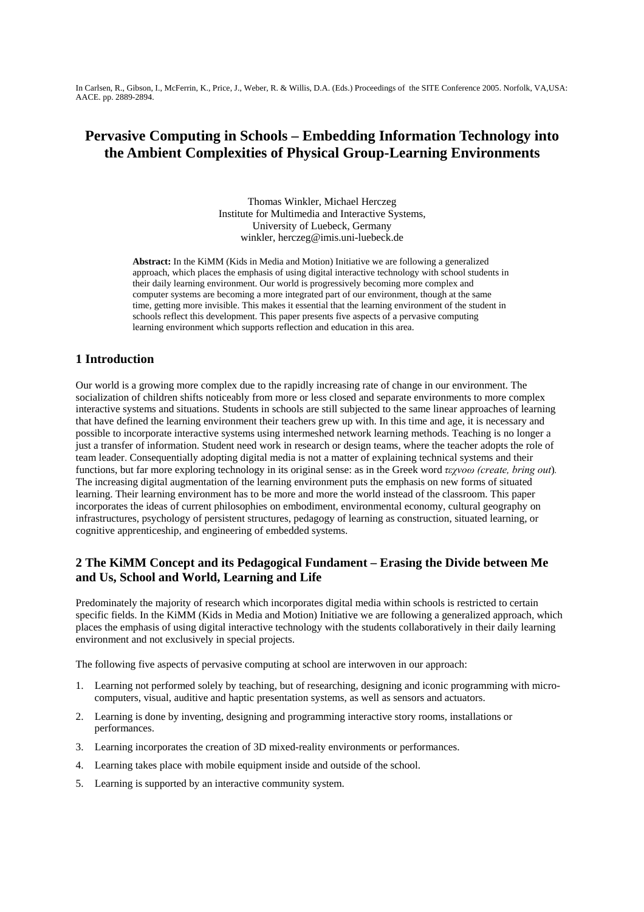In Carlsen, R., Gibson, I., McFerrin, K., Price, J., Weber, R. & Willis, D.A. (Eds.) Proceedings of the SITE Conference 2005. Norfolk, VA,USA: AACE. pp. 2889-2894.

# **Pervasive Computing in Schools – Embedding Information Technology into the Ambient Complexities of Physical Group-Learning Environments**

Thomas Winkler, Michael Herczeg Institute for Multimedia and Interactive Systems, University of Luebeck, Germany winkler, herczeg@imis.uni-luebeck.de

**Abstract:** In the KiMM (Kids in Media and Motion) Initiative we are following a generalized approach, which places the emphasis of using digital interactive technology with school students in their daily learning environment. Our world is progressively becoming more complex and computer systems are becoming a more integrated part of our environment, though at the same time, getting more invisible. This makes it essential that the learning environment of the student in schools reflect this development. This paper presents five aspects of a pervasive computing learning environment which supports reflection and education in this area.

## **1 Introduction**

Our world is a growing more complex due to the rapidly increasing rate of change in our environment. The socialization of children shifts noticeably from more or less closed and separate environments to more complex interactive systems and situations. Students in schools are still subjected to the same linear approaches of learning that have defined the learning environment their teachers grew up with. In this time and age, it is necessary and possible to incorporate interactive systems using intermeshed network learning methods. Teaching is no longer a just a transfer of information. Student need work in research or design teams, where the teacher adopts the role of team leader. Consequentially adopting digital media is not a matter of explaining technical systems and their functions, but far more exploring technology in its original sense: as in the Greek word *τεχνοω (create, bring out*)*.* The increasing digital augmentation of the learning environment puts the emphasis on new forms of situated learning. Their learning environment has to be more and more the world instead of the classroom. This paper incorporates the ideas of current philosophies on embodiment, environmental economy, cultural geography on infrastructures, psychology of persistent structures, pedagogy of learning as construction, situated learning, or cognitive apprenticeship, and engineering of embedded systems.

# **2 The KiMM Concept and its Pedagogical Fundament – Erasing the Divide between Me and Us, School and World, Learning and Life**

Predominately the majority of research which incorporates digital media within schools is restricted to certain specific fields. In the KiMM (Kids in Media and Motion) Initiative we are following a generalized approach, which places the emphasis of using digital interactive technology with the students collaboratively in their daily learning environment and not exclusively in special projects.

The following five aspects of pervasive computing at school are interwoven in our approach:

- 1. Learning not performed solely by teaching, but of researching, designing and iconic programming with microcomputers, visual, auditive and haptic presentation systems, as well as sensors and actuators.
- 2. Learning is done by inventing, designing and programming interactive story rooms, installations or performances.
- 3. Learning incorporates the creation of 3D mixed-reality environments or performances.
- 4. Learning takes place with mobile equipment inside and outside of the school.
- 5. Learning is supported by an interactive community system.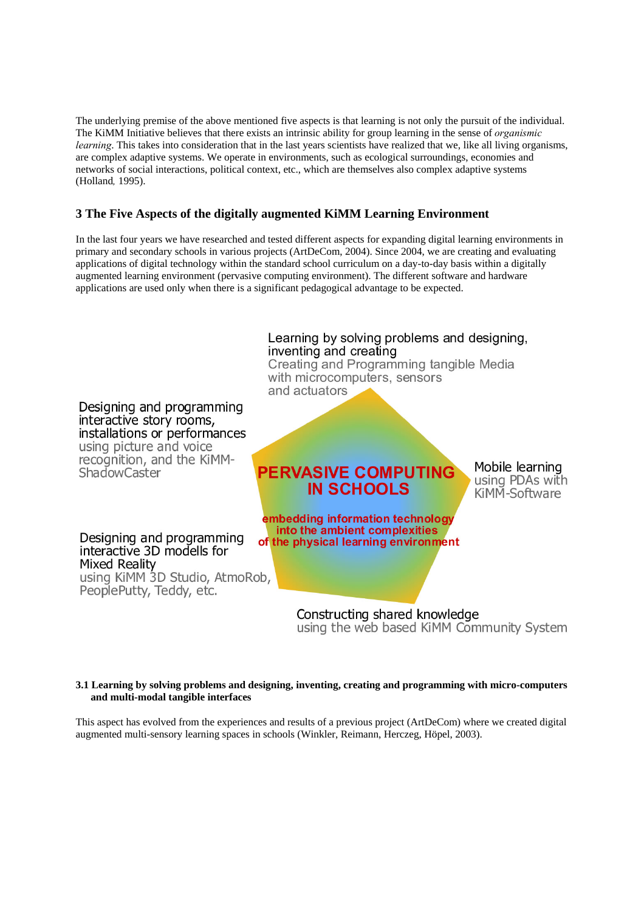The underlying premise of the above mentioned five aspects is that learning is not only the pursuit of the individual. The KiMM Initiative believes that there exists an intrinsic ability for group learning in the sense of *organismic learning*. This takes into consideration that in the last years scientists have realized that we, like all living organisms, are complex adaptive systems. We operate in environments, such as ecological surroundings, economies and networks of social interactions, political context, etc., which are themselves also complex adaptive systems (Holland*,* 1995).

# **3 The Five Aspects of the digitally augmented KiMM Learning Environment**

In the last four years we have researched and tested different aspects for expanding digital learning environments in primary and secondary schools in various projects (ArtDeCom, 2004). Since 2004, we are creating and evaluating applications of digital technology within the standard school curriculum on a day-to-day basis within a digitally augmented learning environment (pervasive computing environment). The different software and hardware applications are used only when there is a significant pedagogical advantage to be expected.



#### **3.1 Learning by solving problems and designing, inventing, creating and programming with micro-computers and multi-modal tangible interfaces**

This aspect has evolved from the experiences and results of a previous project (ArtDeCom) where we created digital augmented multi-sensory learning spaces in schools (Winkler, Reimann, Herczeg, Höpel, 2003).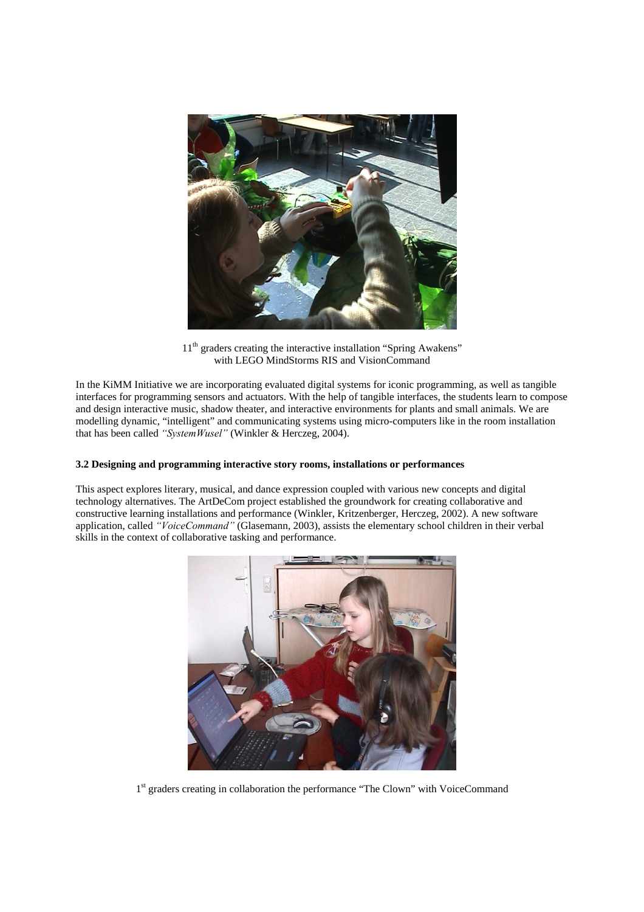

11<sup>th</sup> graders creating the interactive installation "Spring Awakens" with LEGO MindStorms RIS and VisionCommand

In the KiMM Initiative we are incorporating evaluated digital systems for iconic programming, as well as tangible interfaces for programming sensors and actuators. With the help of tangible interfaces, the students learn to compose and design interactive music, shadow theater, and interactive environments for plants and small animals. We are modelling dynamic, "intelligent" and communicating systems using micro-computers like in the room installation that has been called *"SystemWusel"* (Winkler & Herczeg, 2004).

### **3.2 Designing and programming interactive story rooms, installations or performances**

This aspect explores literary, musical, and dance expression coupled with various new concepts and digital technology alternatives. The ArtDeCom project established the groundwork for creating collaborative and constructive learning installations and performance (Winkler, Kritzenberger, Herczeg, 2002). A new software application, called *"VoiceCommand"* (Glasemann, 2003), assists the elementary school children in their verbal skills in the context of collaborative tasking and performance.



1<sup>st</sup> graders creating in collaboration the performance "The Clown" with VoiceCommand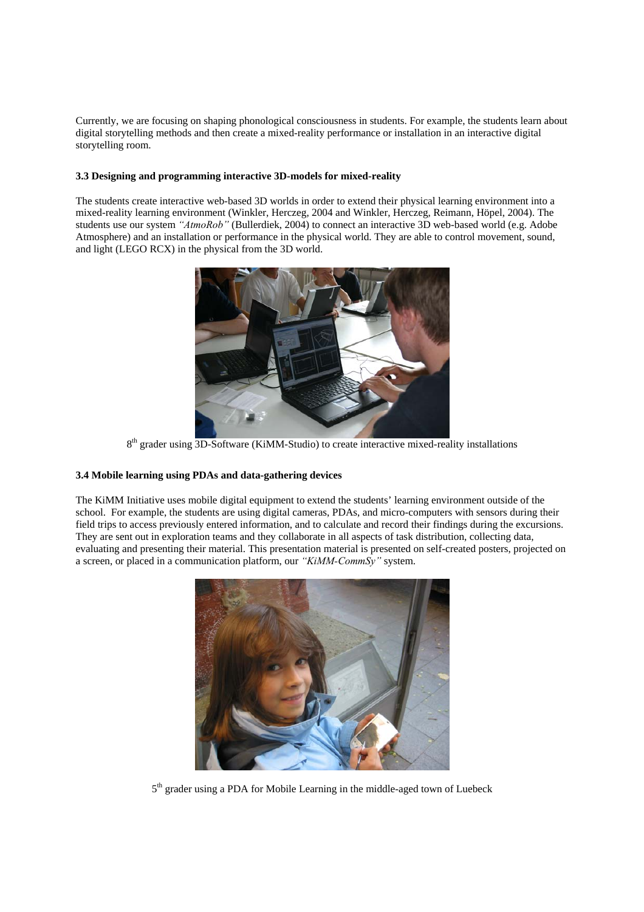Currently, we are focusing on shaping phonological consciousness in students. For example, the students learn about digital storytelling methods and then create a mixed-reality performance or installation in an interactive digital storytelling room.

### **3.3 Designing and programming interactive 3D-models for mixed-reality**

The students create interactive web-based 3D worlds in order to extend their physical learning environment into a mixed-reality learning environment (Winkler, Herczeg, 2004 and Winkler, Herczeg, Reimann, Höpel, 2004). The students use our system *"AtmoRob"* (Bullerdiek, 2004) to connect an interactive 3D web-based world (e.g. Adobe Atmosphere) and an installation or performance in the physical world. They are able to control movement, sound, and light (LEGO RCX) in the physical from the 3D world.



8<sup>th</sup> grader using 3D-Software (KiMM-Studio) to create interactive mixed-reality installations

### **3.4 Mobile learning using PDAs and data-gathering devices**

The KiMM Initiative uses mobile digital equipment to extend the students' learning environment outside of the school. For example, the students are using digital cameras, PDAs, and micro-computers with sensors during their field trips to access previously entered information, and to calculate and record their findings during the excursions. They are sent out in exploration teams and they collaborate in all aspects of task distribution, collecting data, evaluating and presenting their material. This presentation material is presented on self-created posters, projected on a screen, or placed in a communication platform, our *"KiMM-CommSy"* system.



5<sup>th</sup> grader using a PDA for Mobile Learning in the middle-aged town of Luebeck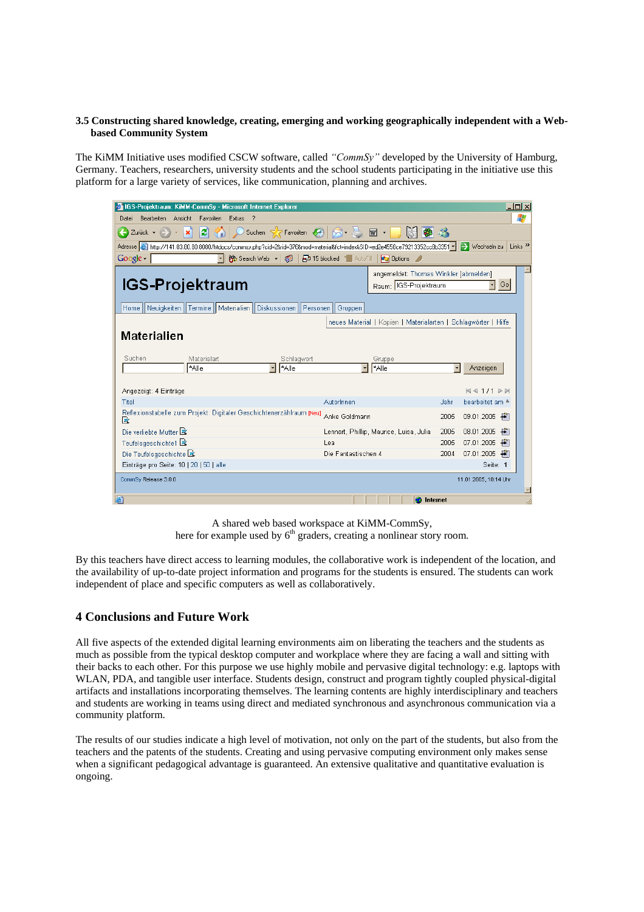### **3.5 Constructing shared knowledge, creating, emerging and working geographically independent with a Webbased Community System**

The KiMM Initiative uses modified CSCW software, called *"CommSy"* developed by the University of Hamburg, Germany. Teachers, researchers, university students and the school students participating in the initiative use this platform for a large variety of services, like communication, planning and archives.

| $   \mathbb{Z}$ $\times$<br><b>2</b> IGS-Projektraum: KiMM-CommSy - Microsoft Internet Explorer                                                                                      |                     |                                                                           |      |                                      |
|--------------------------------------------------------------------------------------------------------------------------------------------------------------------------------------|---------------------|---------------------------------------------------------------------------|------|--------------------------------------|
| 47<br>Bearbeiten<br>Ansicht<br>Favoriten<br>Extras<br>Datei                                                                                                                          |                     |                                                                           |      |                                      |
| Suchen $\mathcal{D}$ Favoriten $\mathcal{D}$ $\mathcal{D}$ $\mathcal{D}$<br>Г<br>丽 ・<br>Zurück +                                                                                     |                     |                                                                           |      |                                      |
| Adresse & http://141.83.80.80:8080/htdocs/commsy.php?cid=2krid=376&mod=material&fct=index&SID=ed2e4558ce79213352cc8b3351 -<br>$\rightarrow$ Wechseln zu<br>Links <sup>&gt;&gt;</sup> |                     |                                                                           |      |                                      |
| Google -<br>6 Search Web → 1<br>P 15 blocked & AutoFill<br><b>2</b> Options                                                                                                          |                     |                                                                           |      |                                      |
| <b>IGS-Projektraum</b>                                                                                                                                                               |                     | angemeldet: Thomas Winkler [abmelden]<br>Raum: IGS-Projektraum<br>Go<br>ᅱ |      |                                      |
| Home    Neuigkeiten    Termine    Materialien    Diskussionen<br>Personen<br>Gruppen                                                                                                 |                     |                                                                           |      |                                      |
| neues Material   Kopien   Materialarten   Schlagwörter   Hilfe                                                                                                                       |                     |                                                                           |      |                                      |
| <b>Materialien</b>                                                                                                                                                                   |                     |                                                                           |      |                                      |
| Suchen<br>Materialart<br>Schlagwort<br>*Alle<br>*Alle                                                                                                                                |                     | Gruppe<br>*Alle                                                           |      | Anzeigen                             |
| Angezeigt: 4 Einträge                                                                                                                                                                |                     |                                                                           |      | 441/1                                |
| Titel                                                                                                                                                                                | Autorinnen          |                                                                           | Jahr | bearbeitet am <sup>4</sup>           |
| Reflexionstabelle zum Projekt: Digitaler Geschichtenerzählraum [Neu]<br>R                                                                                                            | Anke Goldmann       |                                                                           | 2005 | $09.01.2005$ $\uparrow$              |
| Die verliebte Mutter                                                                                                                                                                 |                     | Lennart, Phillip, Maurice, Luisa, Julia                                   | 2005 | 08.01.2005<br>÷                      |
| Teufelsgeschichte1 这                                                                                                                                                                 | Lea                 |                                                                           | 2005 | 07.01.2005<br>$\left  \cdot \right $ |
| Die Teufelsgeschichte                                                                                                                                                                | Die Fantastischen 4 |                                                                           | 2004 | 07.01.2005 $\bigoplus$               |
| Einträge pro Seite: 10   20   50   alle                                                                                                                                              |                     |                                                                           |      | Seite: 1                             |
| CommSy Release 3.0.0                                                                                                                                                                 |                     |                                                                           |      | 11.01.2005, 10:14 Uhr                |
| 圖                                                                                                                                                                                    |                     | <b>O</b> Internet                                                         |      |                                      |

A shared web based workspace at KiMM-CommSy, here for example used by  $6<sup>th</sup>$  graders, creating a nonlinear story room.

By this teachers have direct access to learning modules, the collaborative work is independent of the location, and the availability of up-to-date project information and programs for the students is ensured. The students can work independent of place and specific computers as well as collaboratively.

# **4 Conclusions and Future Work**

All five aspects of the extended digital learning environments aim on liberating the teachers and the students as much as possible from the typical desktop computer and workplace where they are facing a wall and sitting with their backs to each other. For this purpose we use highly mobile and pervasive digital technology: e.g. laptops with WLAN, PDA, and tangible user interface. Students design, construct and program tightly coupled physical-digital artifacts and installations incorporating themselves. The learning contents are highly interdisciplinary and teachers and students are working in teams using direct and mediated synchronous and asynchronous communication via a community platform.

The results of our studies indicate a high level of motivation, not only on the part of the students, but also from the teachers and the patents of the students. Creating and using pervasive computing environment only makes sense when a significant pedagogical advantage is guaranteed. An extensive qualitative and quantitative evaluation is ongoing.